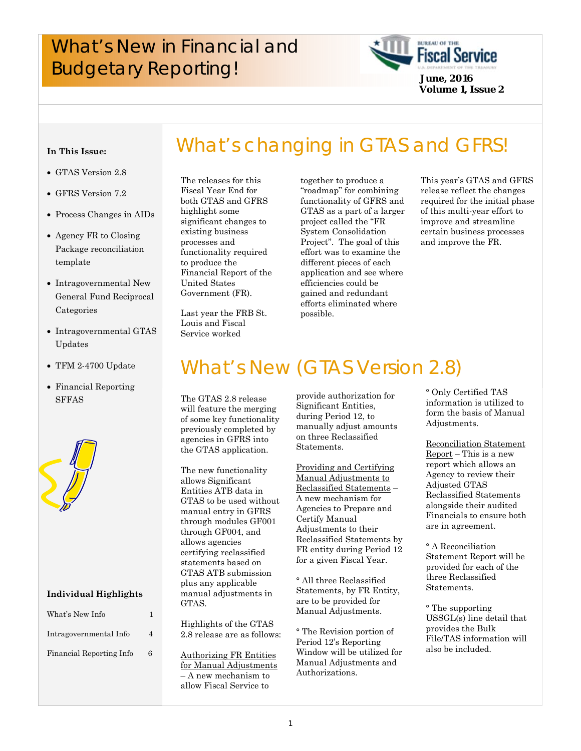# What's New in Financial and **Fiscal Service**<br>Budgetary Reporting!<br>*Budgetary Reporting!*



**Volume 1, Issue 2**

#### **In This Issue:**

- GTAS Version 2.8
- GFRS Version 7.2
- Process Changes in AIDs
- Agency FR to Closing Package reconciliation template
- Intragovernmental New General Fund Reciprocal Categories
- Intragovernmental GTAS Updates
- TFM 2-4700 Update
- Financial Reporting SFFAS



#### **Individual Highlights**

| What's New Info          |   |
|--------------------------|---|
| Intragovernmental Info   | Λ |
| Financial Reporting Info | 6 |

 functionality required The releases for this Fiscal Year End for both GTAS and GFRS highlight some significant changes to existing business processes and to produce the Financial Report of the United States Government (FR).

Last year the FRB St. Louis and Fiscal Service worked

together to produce a "roadmap" for combining functionality of GFRS and GTAS as a part of a larger project called the "FR System Consolidation Project". The goal of this effort was to examine the different pieces of each application and see where efficiencies could be gained and redundant efforts eliminated where possible.

What's changing in GTAS and GFRS!

This year's GTAS and GFRS release reflect the changes required for the initial phase of this multi-year effort to improve and streamline certain business processes and improve the FR.

# What's New (GTAS Version 2.8)

The GTAS 2.8 release will feature the merging of some key functionality previously completed by agencies in GFRS into the GTAS application.

The new functionality allows Significant Entities ATB data in GTAS to be used without manual entry in GFRS through modules GF001 through GF004, and allows agencies certifying reclassified statements based on GTAS ATB submission plus any applicable manual adjustments in GTAS.

Highlights of the GTAS 2.8 release are as follows:

Authorizing FR Entities for Manual Adjustments – A new mechanism to allow Fiscal Service to

provide authorization for Significant Entities, during Period 12, to manually adjust amounts on three Reclassified Statements.

Providing and Certifying Manual Adjustments to Reclassified Statements – A new mechanism for Agencies to Prepare and Certify Manual Adjustments to their Reclassified Statements by FR entity during Period 12 for a given Fiscal Year.

° All three Reclassified Statements, by FR Entity, are to be provided for Manual Adjustments.

° The Revision portion of Period 12's Reporting Window will be utilized for Manual Adjustments and Authorizations.

° Only Certified TAS information is utilized to form the basis of Manual Adjustments.

Reconciliation Statement Report – This is a new report which allows an Agency to review their Adjusted GTAS Reclassified Statements alongside their audited Financials to ensure both are in agreement.

° A Reconciliation Statement Report will be provided for each of the three Reclassified Statements.

° The supporting USSGL(s) line detail that provides the Bulk File/TAS information will also be included.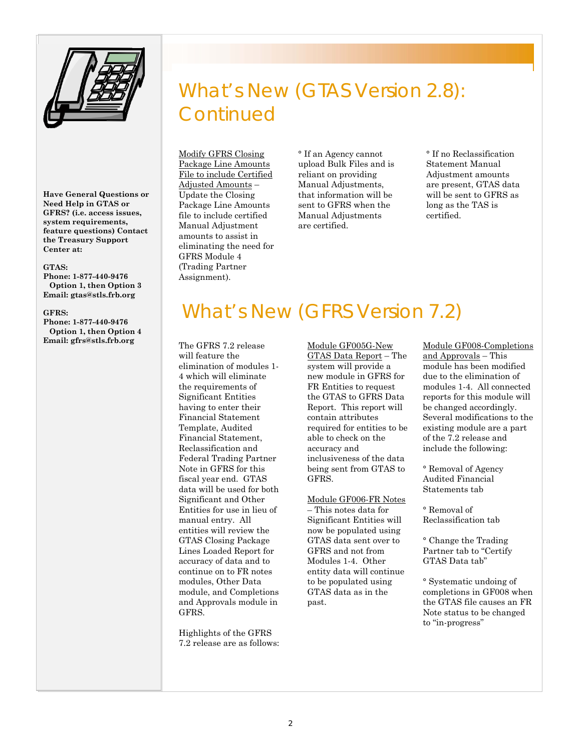

**Have General Questions or Need Help in GTAS or GFRS? (i.e. access issues, system requirements, feature questions) Contact the Treasury Support Center at:** 

#### **GTAS:**

**Phone: 1-877-440-9476 Option 1, then Option 3 Email: gtas@stls.frb.org** 

#### **GFRS:**

**Phone: 1-877-440-9476 Option 1, then Option 4 Email: gfrs@stls.frb.org** 

# What's New (GTAS Version 2.8): **Continued**

Modify GFRS Closing Package Line Amounts File to include Certified Adjusted Amounts – Update the Closing Package Line Amounts file to include certified Manual Adjustment amounts to assist in eliminating the need for GFRS Module 4 (Trading Partner Assignment).

° If an Agency cannot upload Bulk Files and is reliant on providing Manual Adjustments, that information will be sent to GFRS when the Manual Adjustments are certified.

° If no Reclassification Statement Manual Adjustment amounts are present, GTAS data will be sent to GFRS as long as the TAS is certified.

## What's New (GFRS Version 7.2)

The GFRS 7.2 release will feature the elimination of modules 1- 4 which will eliminate the requirements of Significant Entities having to enter their Financial Statement Template, Audited Financial Statement, Reclassification and Federal Trading Partner Note in GFRS for this fiscal year end. GTAS data will be used for both Significant and Other Entities for use in lieu of manual entry. All entities will review the GTAS Closing Package Lines Loaded Report for accuracy of data and to continue on to FR notes modules, Other Data module, and Completions and Approvals module in GFRS.

Highlights of the GFRS 7.2 release are as follows:

Module GF005G-New GTAS Data Report – The system will provide a new module in GFRS for FR Entities to request the GTAS to GFRS Data Report. This report will contain attributes required for entities to be able to check on the accuracy and inclusiveness of the data being sent from GTAS to GFRS.

#### Module GF006-FR Notes

– This notes data for Significant Entities will now be populated using GTAS data sent over to GFRS and not from Modules 1-4. Other entity data will continue to be populated using GTAS data as in the past.

Module GF008-Completions and Approvals – This module has been modified due to the elimination of modules 1-4. All connected reports for this module will be changed accordingly. Several modifications to the existing module are a part of the 7.2 release and include the following:

° Removal of Agency Audited Financial Statements tab

° Removal of Reclassification tab

° Change the Trading Partner tab to "Certify GTAS Data tab"

° Systematic undoing of completions in GF008 when the GTAS file causes an FR Note status to be changed to "in-progress"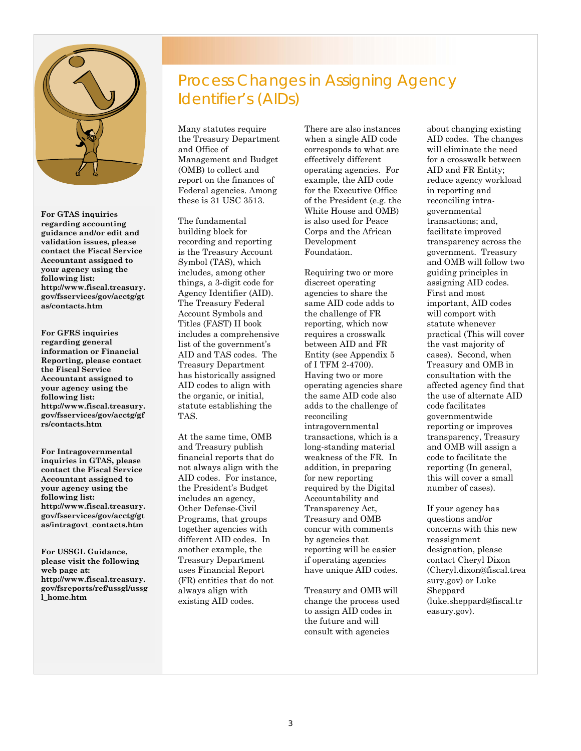

**For GTAS inquiries regarding accounting guidance and/or edit and validation issues, please contact the Fiscal Service Accountant assigned to your agency using the following list: http://www.fiscal.treasury. gov/fsservices/gov/acctg/gt as/contacts.htm** 

**For GFRS inquiries regarding general information or Financial Reporting, please contact the Fiscal Service Accountant assigned to your agency using the following list: http://www.fiscal.treasury. gov/fsservices/gov/acctg/gf rs/contacts.htm** 

**For Intragovernmental inquiries in GTAS, please contact the Fiscal Service Accountant assigned to your agency using the following list: http://www.fiscal.treasury. gov/fsservices/gov/acctg/gt as/intragovt\_contacts.htm** 

**For USSGL Guidance, please visit the following web page at: http://www.fiscal.treasury. gov/fsreports/ref/ussgl/ussg l\_home.htm** 

## Process Changes in Assigning Agency Identifier's (AIDs)

Many statutes require the Treasury Department and Office of Management and Budget (OMB) to collect and report on the finances of Federal agencies. Among these is 31 USC 3513.

 the organic, or initial, The fundamental building block for recording and reporting is the Treasury Account Symbol (TAS), which includes, among other things, a 3-digit code for Agency Identifier (AID). The Treasury Federal Account Symbols and Titles (FAST) II book includes a comprehensive list of the government's AID and TAS codes. The Treasury Department has historically assigned AID codes to align with statute establishing the TAS.

 Programs, that groups At the same time, OMB and Treasury publish financial reports that do not always align with the AID codes. For instance, the President's Budget includes an agency, Other Defense-Civil together agencies with different AID codes. In another example, the Treasury Department uses Financial Report (FR) entities that do not always align with existing AID codes.

There are also instances when a single AID code corresponds to what are effectively different operating agencies. For example, the AID code for the Executive Office of the President (e.g. the White House and OMB) is also used for Peace Corps and the African Development Foundation.

Requiring two or more discreet operating agencies to share the same AID code adds to the challenge of FR reporting, which now requires a crosswalk between AID and FR Entity (see Appendix 5 of I TFM 2-4700). Having two or more operating agencies share the same AID code also adds to the challenge of reconciling intragovernmental transactions, which is a long-standing material weakness of the FR. In addition, in preparing for new reporting required by the Digital Accountability and Transparency Act, Treasury and OMB concur with comments by agencies that reporting will be easier if operating agencies have unique AID codes.

Treasury and OMB will change the process used to assign AID codes in the future and will consult with agencies

about changing existing AID codes. The changes will eliminate the need for a crosswalk between AID and FR Entity; reduce agency workload in reporting and reconciling intragovernmental transactions; and, facilitate improved transparency across the government. Treasury and OMB will follow two guiding principles in assigning AID codes. First and most important, AID codes will comport with statute whenever practical (This will cover the vast majority of cases). Second, when Treasury and OMB in consultation with the affected agency find that the use of alternate AID code facilitates governmentwide reporting or improves transparency, Treasury and OMB will assign a code to facilitate the reporting (In general, this will cover a small number of cases).

If your agency has questions and/or concerns with this new reassignment designation, please contact Cheryl Dixon (Cheryl.dixon@fiscal.trea sury.gov) or Luke Sheppard (luke.sheppard@fiscal.tr easury.gov).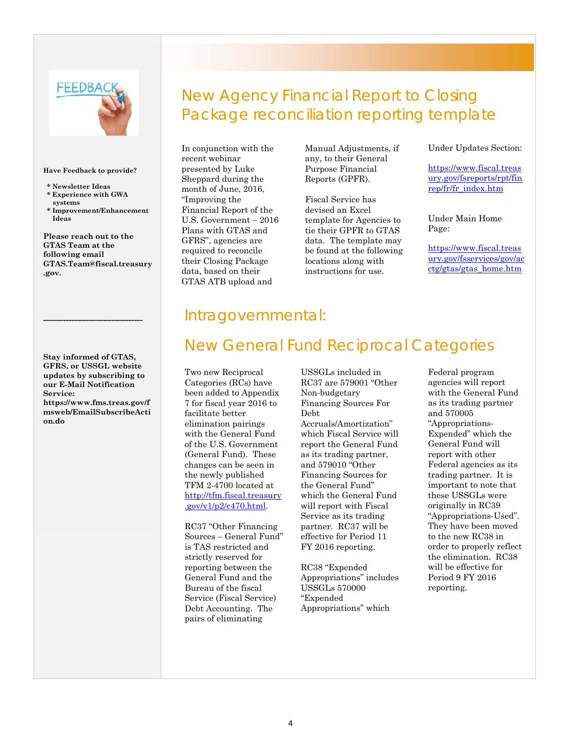# **FEEDBAC**

#### **Have Feedback to provide?**

- **\* Newsletter Ideas \* Experience with GWA systems**
- **\* Improvement/Enhancement Ideas**

**Please reach out to the GTAS Team at the following email GTAS.Team@fiscal.treasury .gov.** 

**Stay informed of GTAS, GFRS, or USSGL website updates by subscribing to our E-Mail Notification Service: https://www.fms.treas.gov/f msweb/EmailSubscribeActi on.do**

**-----------------------------------** 

## New Agency Financial Report to Closing Package reconciliation reporting template

In conjunction with the recent webinar presented by Luke Sheppard during the month of June, 2016, "Improving the Financial Report of the U.S. Government – 2016 Plans with GTAS and GFRS", agencies are required to reconcile their Closing Package data, based on their GTAS ATB upload and

Manual Adjustments, if any, to their General Purpose Financial Reports (GPFR).

Fiscal Service has devised an Excel template for Agencies to tie their GPFR to GTAS data. The template may be found at the following locations along with instructions for use.

#### Under Updates Section:

https://www.fiscal.treas [ury.gov/fsreports/rpt/fin](https://www.fiscal.treasury.gov/fsreports/rpt/finrep/fr/fr_index.htm) rep/fr/fr\_index.htm

Under Main Home Page:

https://www.fiscal.treas [ury.gov/fsservices/gov/ac](https://www.fiscal.treasury.gov/fsservices/gov/acctg/gtas/gtas_home.htm) ctg/gtas/gtas\_home.htm

#### Intragovernmental:

## New General Fund Reciprocal Categories

 [.gov/v1/p2/c470.html.](http://tfm.fiscal.treasury.gov/v1/p2/c470.html)  Two new Reciprocal Categories (RCs) have been added to Appendix 7 for fiscal year 2016 to facilitate better elimination pairings with the General Fund of the U.S. Government (General Fund). These changes can be seen in the newly published TFM 2-4700 located at http://tfm.fiscal.treasury

RC37 "Other Financing Sources – General Fund" is TAS restricted and strictly reserved for reporting between the General Fund and the Bureau of the fiscal Service (Fiscal Service) Debt Accounting. The pairs of eliminating

USSGLs included in RC37 are 579001 "Other Non-budgetary Financing Sources For Debt Accruals/Amortization" which Fiscal Service will report the General Fund as its trading partner, and 579010 "Other Financing Sources for the General Fund" which the General Fund will report with Fiscal Service as its trading partner. RC37 will be effective for Period 11 FY 2016 reporting.

RC38 "Expended Appropriations" includes USSGLs 570000 "Expended Appropriations" which

Federal program agencies will report with the General Fund as its trading partner and 570005 "Appropriations-Expended" which the General Fund will report with other Federal agencies as its trading partner. It is important to note that these USSGLs were originally in RC39 "Appropriations-Used". They have been moved to the new RC38 in order to properly reflect the elimination. RC38 will be effective for Period 9 FY 2016 reporting.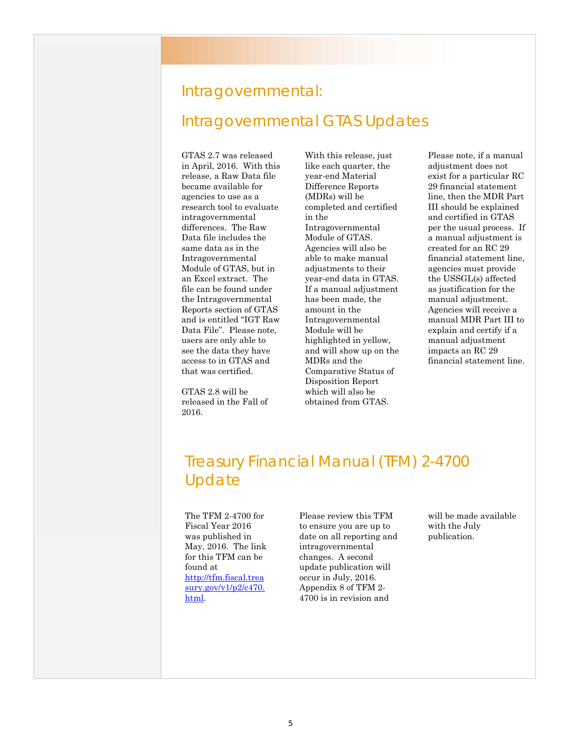# Intragovernmental: Intragovernmental GTAS Updates

GTAS 2.7 was released in April, 2016. With this release, a Raw Data file became available for agencies to use as a research tool to evaluate intragovernmental differences. The Raw Data file includes the same data as in the Intragovernmental Module of GTAS, but in an Excel extract. The file can be found under the Intragovernmental Reports section of GTAS and is entitled "IGT Raw Data File". Please note, users are only able to see the data they have access to in GTAS and that was certified.

GTAS 2.8 will be released in the Fall of 2016.

With this release, just like each quarter, the year-end Material Difference Reports (MDRs) will be completed and certified in the Intragovernmental Module of GTAS. Agencies will also be able to make manual adjustments to their year-end data in GTAS. If a manual adjustment has been made, the amount in the Intragovernmental Module will be highlighted in yellow, and will show up on the MDRs and the Comparative Status of Disposition Report which will also be obtained from GTAS.

Please note, if a manual adjustment does not exist for a particular RC 29 financial statement line, then the MDR Part III should be explained and certified in GTAS per the usual process. If a manual adjustment is created for an RC 29 financial statement line, agencies must provide the USSGL(s) affected as justification for the manual adjustment. Agencies will receive a manual MDR Part III to explain and certify if a manual adjustment impacts an RC 29 financial statement line.

## Treasury Financial Manual (TFM) 2-4700 Update

The TFM 2-4700 for Fiscal Year 2016 was published in May, 2016. The link for this TFM can be found at http://tfm.fiscal.trea [sury.gov/v1/p2/c470.](http://tfm.fiscal.treasury.gov/v1/p2/c470.html) html.

Please review this TFM to ensure you are up to date on all reporting and intragovernmental changes. A second update publication will occur in July, 2016. Appendix 8 of TFM 2- 4700 is in revision and

will be made available with the July publication.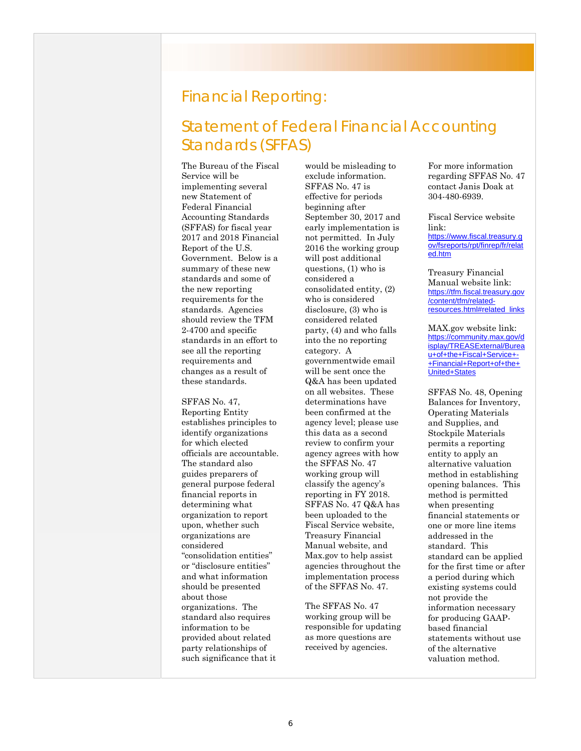#### Financial Reporting:

## Statement of Federal Financial Accounting Standards (SFFAS)

The Bureau of the Fiscal Service will be implementing several new Statement of Federal Financial Accounting Standards (SFFAS) for fiscal year 2017 and 2018 Financial Report of the U.S. Government. Below is a summary of these new standards and some of the new reporting requirements for the standards. Agencies should review the TFM 2-4700 and specific standards in an effort to see all the reporting requirements and changes as a result of these standards.

 determining what SFFAS No. 47, Reporting Entity establishes principles to identify organizations for which elected officials are accountable. The standard also guides preparers of general purpose federal financial reports in organization to report upon, whether such organizations are considered "consolidation entities" or "disclosure entities" and what information should be presented about those organizations. The standard also requires information to be provided about related party relationships of such significance that it

would be misleading to exclude information. SFFAS No. 47 is effective for periods beginning after September 30, 2017 and early implementation is not permitted. In July 2016 the working group will post additional questions, (1) who is considered a consolidated entity, (2) who is considered disclosure, (3) who is considered related party, (4) and who falls into the no reporting category. A governmentwide email will be sent once the Q&A has been updated on all websites. These determinations have been confirmed at the agency level; please use this data as a second review to confirm your agency agrees with how the SFFAS No. 47 working group will classify the agency's reporting in FY 2018. SFFAS No. 47 Q&A has been uploaded to the Fiscal Service website, Treasury Financial Manual website, and Max.gov to help assist agencies throughout the implementation process of the SFFAS No. 47.

The SFFAS No. 47 working group will be responsible for updating as more questions are received by agencies.

For more information regarding SFFAS No. 47 contact Janis Doak at 304-480-6939.

Fiscal Service website link: https://www.fiscal.treasury.g [ov/fsreports/rpt/finrep/fr/relat](https://www.fiscal.treasury.gov/fsreports/rpt/finrep/fr/related.htm) ed.htm

Treasury Financial Manual website link: https://tfm.fiscal.treasury.gov /content/tfm/related[resources.html#related\\_links](https://tfm.fiscal.treasury.gov/content/tfm/related-resources.html#related_links)

MAX.gov website link: https://community.max.gov/d [isplay/TREASExternal/Burea](https://community.max.gov/display/TREASExternal/Bureau+of+the+Fiscal+Service+-+Financial+Report+of+the+United+States) u+of+the+Fiscal+Service+- +Financial+Report+of+the+ United+States

SFFAS No. 48, Opening Balances for Inventory, Operating Materials and Supplies, and Stockpile Materials permits a reporting entity to apply an alternative valuation method in establishing opening balances. This method is permitted when presenting financial statements or one or more line items addressed in the standard. This standard can be applied for the first time or after a period during which existing systems could not provide the information necessary for producing GAAPbased financial statements without use of the alternative valuation method.